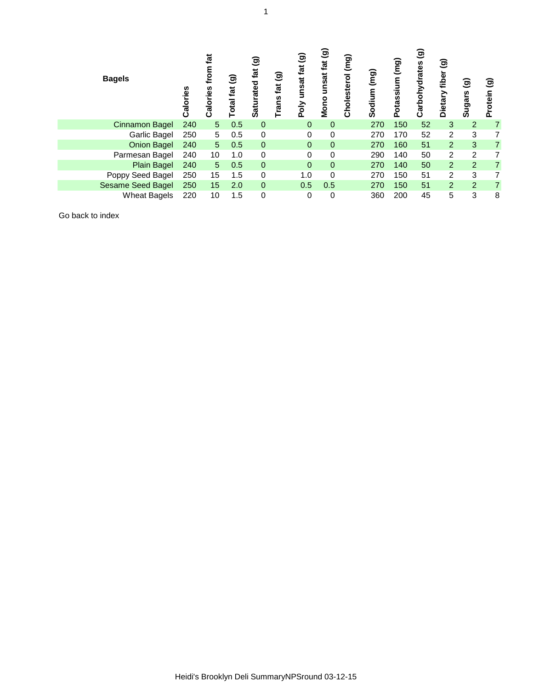| <b>Bagels</b>            | Calories | tat<br>틍<br>Calories | $\widehat{\mathbf{e}}$<br>fat<br>otal | ම<br>fat<br>rated<br>ಕ<br><u>ທ</u> | ම<br>tat<br>rans | ම<br>$\vec{a}$<br>unsat<br>Poly | ම<br>fat<br>unsat<br>Mono | (mg)<br>Cholesterol | (mg)<br>Sodium | (mg)<br>Potassium | ම<br>arbohydrates<br>ပ | ම<br>fiber<br>Dietary | ತ<br>Sugars    | ම<br>Protein   |
|--------------------------|----------|----------------------|---------------------------------------|------------------------------------|------------------|---------------------------------|---------------------------|---------------------|----------------|-------------------|------------------------|-----------------------|----------------|----------------|
| <b>Cinnamon Bagel</b>    | 240      | 5 <sup>5</sup>       | 0.5                                   | $\mathbf 0$                        |                  | $\mathbf 0$                     | 0                         |                     | 270            | 150               | 52                     | 3                     | $\overline{2}$ | $\overline{7}$ |
| Garlic Bagel             | 250      | 5                    | 0.5                                   | 0                                  |                  | 0                               | 0                         |                     | 270            | 170               | 52                     | 2                     | 3              | 7              |
| <b>Onion Bagel</b>       | 240      | 5 <sup>5</sup>       | 0.5                                   | $\mathbf 0$                        |                  | $\mathbf 0$                     | $\mathbf 0$               |                     | 270            | 160               | 51                     | $\overline{2}$        | 3              | $\overline{7}$ |
| Parmesan Bagel           | 240      | 10                   | 1.0                                   | 0                                  |                  | 0                               | 0                         |                     | 290            | 140               | 50                     | $\overline{2}$        | $\overline{2}$ | 7              |
| <b>Plain Bagel</b>       | 240      | 5                    | 0.5                                   | $\mathbf 0$                        |                  | $\overline{0}$                  | $\mathbf 0$               |                     | 270            | 140               | 50                     | $\overline{2}$        | $\overline{2}$ | 7              |
| Poppy Seed Bagel         | 250      | 15                   | 1.5                                   | 0                                  |                  | 1.0                             | 0                         |                     | 270            | 150               | 51                     | $\overline{2}$        | 3              | 7              |
| <b>Sesame Seed Bagel</b> | 250      | 15                   | 2.0                                   | $\mathbf 0$                        |                  | 0.5                             | 0.5                       |                     | 270            | 150               | 51                     | 2 <sup>1</sup>        | $\overline{2}$ | $\overline{7}$ |
| <b>Wheat Bagels</b>      | 220      | 10                   | 1.5                                   | 0                                  |                  | 0                               | 0                         |                     | 360            | 200               | 45                     | 5                     | 3              | 8              |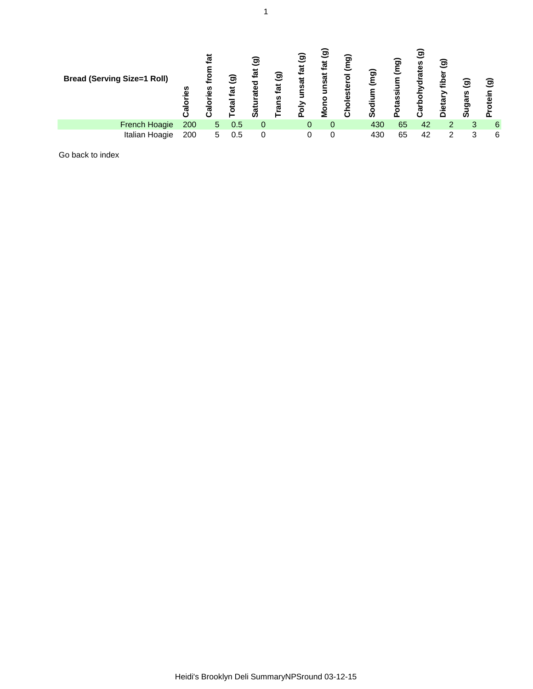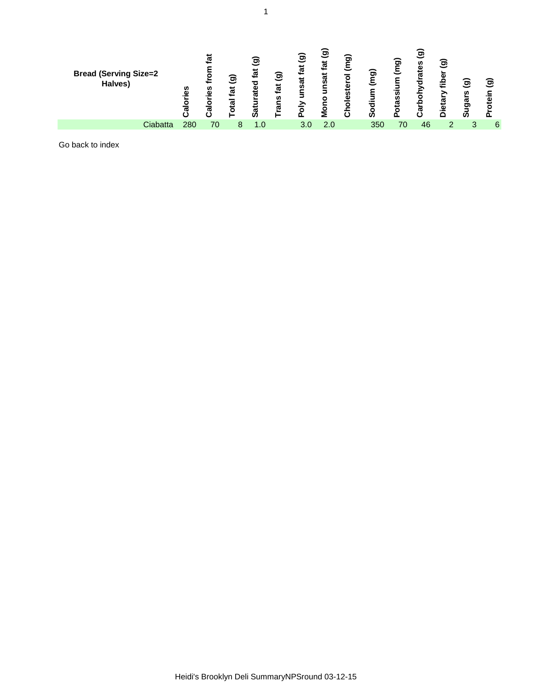| <b>Bread (Serving Size=2</b><br>Halves) | ories<br>⋍<br>ಸ | <u>ja</u><br><u>ies</u><br>$\frac{1}{3}$ | ම<br>fat | ම<br>fat<br>ated<br>∍<br>Sat | $\widehat{\mathbf{e}}$<br>fat<br><b>S</b><br>ᢐ | $\widehat{\mathbf{e}}$<br>$\tilde{\mathbf{z}}$<br>ᢐ<br>n<br>5<br>⋗ | ම<br>tat<br>پ<br>ၷ<br>۰<br>⋝ | o<br>ミ<br>$\mathbf{o}$<br>ē<br>ω<br>O<br>ŕ١ | ಕಾ<br>ທ | ଚ<br>ssi<br>ω | ಕಾ<br>n<br>ω<br>ಕ<br>ᢐ | ಕಾ<br>a١<br>ਵਿ<br>ᠭᢐ<br><u>َة</u><br>⌒ | ම<br>ω<br>o,<br>ທ | මි<br>oteir |
|-----------------------------------------|-----------------|------------------------------------------|----------|------------------------------|------------------------------------------------|--------------------------------------------------------------------|------------------------------|---------------------------------------------|---------|---------------|------------------------|----------------------------------------|-------------------|-------------|
| Ciabatta                                | 280             | 70                                       |          |                              |                                                | 3.0                                                                | 2.0                          |                                             | 350     | 70            | 46                     |                                        |                   | 6           |
|                                         |                 |                                          |          |                              |                                                |                                                                    |                              |                                             |         |               |                        |                                        |                   |             |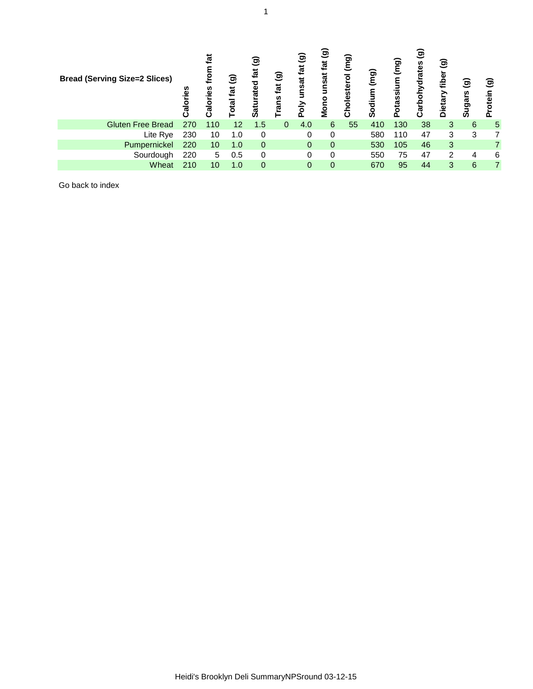| <b>Bread (Serving Size=2 Slices)</b> | ᢐ   | ທ<br>ದ | ම<br><u>tat</u><br>ត្ម<br>ō | මි<br>tat<br>ated<br>ដ | ම<br>tat<br>rans | මු<br>fat<br>unsat<br>증<br>Õ. | ම<br>tat<br>nsat<br>Mono | (mg)<br>Cholesterol | (mg)<br>odium<br>ഗ | (mg<br>otassium | ම<br>rates<br>ᅙ<br>Σ<br>Carbol | ම<br>fiber<br><b>Dietar</b> | ම<br>Sugars | මු<br>lein |
|--------------------------------------|-----|--------|-----------------------------|------------------------|------------------|-------------------------------|--------------------------|---------------------|--------------------|-----------------|--------------------------------|-----------------------------|-------------|------------|
| <b>Gluten Free Bread</b>             | 270 | 110    | 12                          | 1.5                    | $\Omega$         | 4.0                           | 6                        | 55                  | 410                | 130             | 38                             | 3                           | 6           | 5          |
| Lite Rye                             | 230 | 10     | 1.0                         | 0                      |                  | 0                             | 0                        |                     | 580                | 110             | 47                             | 3                           | 3           |            |
| Pumpernickel                         | 220 | 10     | 1.0                         | 0                      |                  | 0                             | 0                        |                     | 530                | 105             | 46                             | 3                           |             |            |
| Sourdough                            | 220 | 5      | 0.5                         | 0                      |                  | 0                             | 0                        |                     | 550                | 75              | 47                             | $\overline{2}$              | 4           | 6          |
| Wheat                                | 210 | 10     | 1.0                         | 0                      |                  | 0                             | 0                        |                     | 670                | 95              | 44                             | 3                           | 6           | 7          |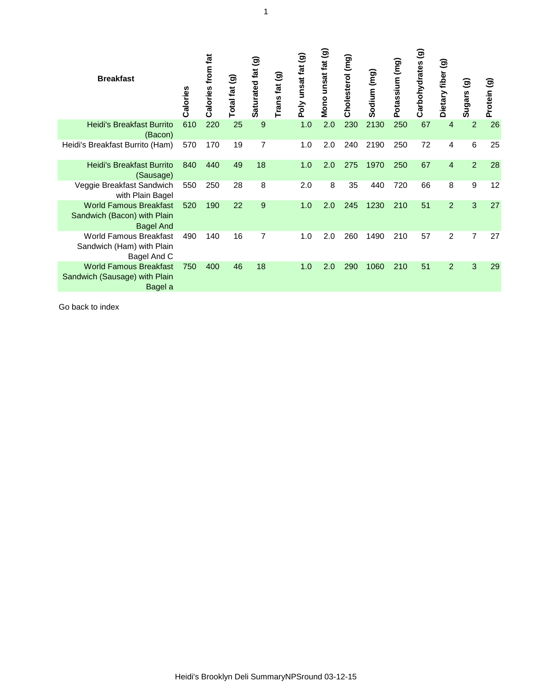| <b>Breakfast</b>                                                                 | Calories | Calories from fat | ම<br><b>Total fat</b> | Saturated fat (g) | ම<br>Trans fat | Poly unsat fat (g) | Mono unsat fat (g) | Cholesterol (mg) | Sodium (mg) | Potassium (mg) | $\widehat{\mathbf{e}}$<br>Carbohydrates | ම<br>fiber<br>Dietary | ම<br>Sugars    | $\widehat{\mathbf{e}}$<br>Protein |
|----------------------------------------------------------------------------------|----------|-------------------|-----------------------|-------------------|----------------|--------------------|--------------------|------------------|-------------|----------------|-----------------------------------------|-----------------------|----------------|-----------------------------------|
| <b>Heidi's Breakfast Burrito</b><br>(Bacon)                                      | 610      | 220               | 25                    | 9                 |                | 1.0                | 2.0                | 230              | 2130        | 250            | 67                                      | 4                     | $\overline{2}$ | 26                                |
| Heidi's Breakfast Burrito (Ham)                                                  | 570      | 170               | 19                    | 7                 |                | 1.0                | 2.0                | 240              | 2190        | 250            | 72                                      | 4                     | $6\phantom{1}$ | 25                                |
| <b>Heidi's Breakfast Burrito</b><br>(Sausage)                                    | 840      | 440               | 49                    | 18                |                | 1.0                | 2.0                | 275              | 1970        | 250            | 67                                      | $\overline{4}$        | $\overline{2}$ | 28                                |
| Veggie Breakfast Sandwich<br>with Plain Bagel                                    | 550      | 250               | 28                    | 8                 |                | 2.0                | 8                  | 35               | 440         | 720            | 66                                      | 8                     | 9              | 12                                |
| <b>World Famous Breakfast</b><br>Sandwich (Bacon) with Plain<br><b>Bagel And</b> | 520      | 190               | 22                    | 9                 |                | 1.0                | 2.0                | 245              | 1230        | 210            | 51                                      | $\overline{2}$        | 3              | 27                                |
| <b>World Famous Breakfast</b><br>Sandwich (Ham) with Plain<br>Bagel And C        | 490      | 140               | 16                    | $\overline{7}$    |                | 1.0                | 2.0                | 260              | 1490        | 210            | 57                                      | $\overline{2}$        | $\overline{7}$ | 27                                |
| <b>World Famous Breakfast</b><br>Sandwich (Sausage) with Plain<br>Bagel a        | 750      | 400               | 46                    | 18                |                | 1.0                | 2.0                | 290              | 1060        | 210            | 51                                      | $\overline{2}$        | 3              | 29                                |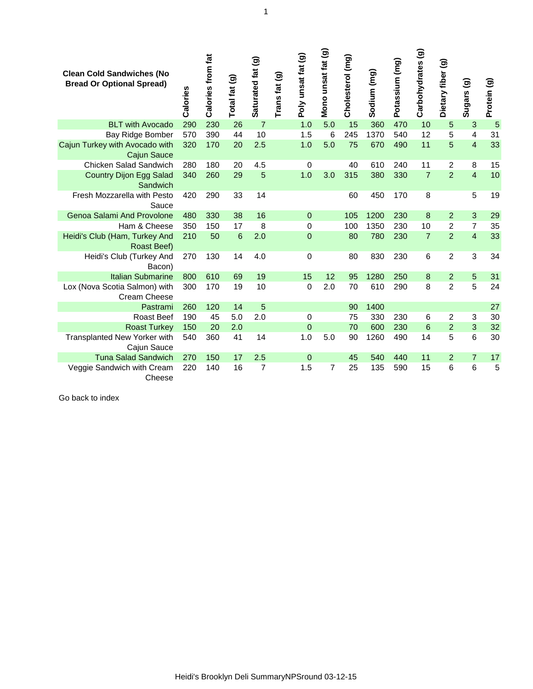| <b>Clean Cold Sandwiches (No</b><br><b>Bread Or Optional Spread)</b> | Calories | Calories from fat | Total fat (g)  | Saturated fat (g) | <u>ම</u><br>Trans fat | Poly unsat fat (g) | Mono unsat fat (g) | Cholesterol (mg) | Sodium (mg) | Potassium (mg) | Carbohydrates (g) | Dietary fiber (g) | Sugars (g)              | Protein (g) |
|----------------------------------------------------------------------|----------|-------------------|----------------|-------------------|-----------------------|--------------------|--------------------|------------------|-------------|----------------|-------------------|-------------------|-------------------------|-------------|
| <b>BLT with Avocado</b>                                              | 290      | 230               | 26             | $\overline{7}$    |                       | 1.0                | 5.0                | 15               | 360         | 470            | 10                | 5                 | 3                       | 5           |
| Bay Ridge Bomber                                                     | 570      | 390               | 44             | 10                |                       | 1.5                | 6                  | 245              | 1370        | 540            | 12                | 5                 | 4                       | 31          |
| Cajun Turkey with Avocado with<br><b>Cajun Sauce</b>                 | 320      | 170               | 20             | 2.5               |                       | 1.0                | 5.0                | 75               | 670         | 490            | 11                | 5                 | $\overline{\mathbf{4}}$ | 33          |
| <b>Chicken Salad Sandwich</b>                                        | 280      | 180               | 20             | 4.5               |                       | $\mathbf 0$        |                    | 40               | 610         | 240            | 11                | $\overline{2}$    | 8                       | 15          |
| <b>Country Dijon Egg Salad</b><br>Sandwich                           | 340      | 260               | 29             | 5                 |                       | 1.0                | 3.0                | 315              | 380         | 330            | $\overline{7}$    | $\overline{2}$    | $\overline{4}$          | 10          |
| Fresh Mozzarella with Pesto<br>Sauce                                 | 420      | 290               | 33             | 14                |                       |                    |                    | 60               | 450         | 170            | 8                 |                   | 5                       | 19          |
| <b>Genoa Salami And Provolone</b>                                    | 480      | 330               | 38             | 16                |                       | 0                  |                    | 105              | 1200        | 230            | 8                 | $\overline{2}$    | 3                       | 29          |
| Ham & Cheese                                                         | 350      | 150               | 17             | 8                 |                       | 0                  |                    | 100              | 1350        | 230            | 10                | $\overline{2}$    | $\overline{7}$          | 35          |
| Heidi's Club (Ham, Turkey And<br>Roast Beef)                         | 210      | 50                | $6\phantom{1}$ | 2.0               |                       | $\overline{0}$     |                    | 80               | 780         | 230            | $\overline{7}$    | $\overline{2}$    | $\overline{\mathbf{4}}$ | 33          |
| Heidi's Club (Turkey And<br>Bacon)                                   | 270      | 130               | 14             | 4.0               |                       | $\overline{0}$     |                    | 80               | 830         | 230            | 6                 | $\overline{2}$    | 3                       | 34          |
| <b>Italian Submarine</b>                                             | 800      | 610               | 69             | 19                |                       | 15                 | 12                 | 95               | 1280        | 250            | 8                 | $\overline{2}$    | 5                       | 31          |
| Lox (Nova Scotia Salmon) with<br><b>Cream Cheese</b>                 | 300      | 170               | 19             | 10                |                       | $\mathbf 0$        | 2.0                | 70               | 610         | 290            | 8                 | $\overline{2}$    | 5                       | 24          |
| Pastrami                                                             | 260      | 120               | 14             | 5                 |                       |                    |                    | 90               | 1400        |                |                   |                   |                         | 27          |
| Roast Beef                                                           | 190      | 45                | 5.0            | 2.0               |                       | 0                  |                    | 75               | 330         | 230            | 6                 | $\overline{2}$    | 3                       | 30          |
| <b>Roast Turkey</b>                                                  | 150      | 20                | 2.0            |                   |                       | $\mathbf 0$        |                    | 70               | 600         | 230            | $6\phantom{1}6$   | $\overline{2}$    | 3                       | 32          |
| Transplanted New Yorker with<br>Cajun Sauce                          | 540      | 360               | 41             | 14                |                       | 1.0                | 5.0                | 90               | 1260        | 490            | 14                | 5                 | 6                       | 30          |
| <b>Tuna Salad Sandwich</b>                                           | 270      | 150               | 17             | 2.5               |                       | $\mathbf 0$        |                    | 45               | 540         | 440            | 11                | $\overline{2}$    | $\overline{7}$          | 17          |
| Veggie Sandwich with Cream<br>Cheese                                 | 220      | 140               | 16             | $\overline{7}$    |                       | 1.5                | $\overline{7}$     | 25               | 135         | 590            | 15                | 6                 | 6                       | 5           |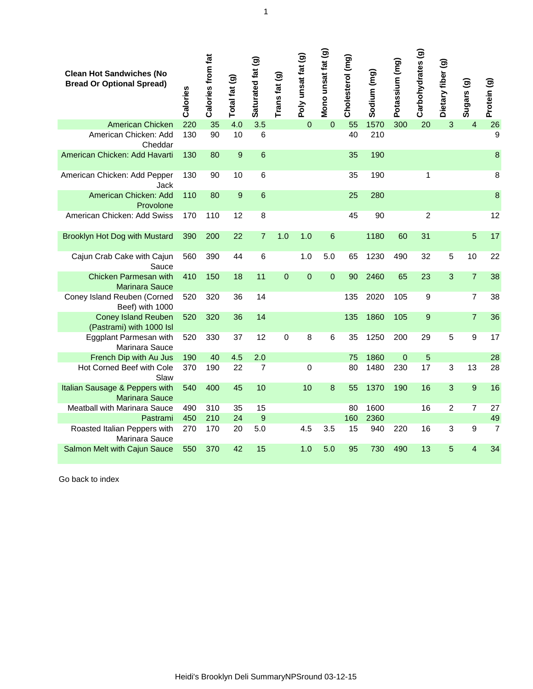| <b>Clean Hot Sandwiches (No</b><br><b>Bread Or Optional Spread)</b> | Calories | Calories from fat | Total fat (g) | Saturated fat (g) | Trans fat <sub>(g)</sub> | Poly unsat fat (g) | Mono unsat fat (g) | Cholesterol (mg) | Sodium (mg) | Potassium (mg) | Carbohydrates (g) | Dietary fiber (g) | Sugars (g)       | Protein (g)    |
|---------------------------------------------------------------------|----------|-------------------|---------------|-------------------|--------------------------|--------------------|--------------------|------------------|-------------|----------------|-------------------|-------------------|------------------|----------------|
| American Chicken                                                    | 220      | 35                | 4.0           | 3.5               |                          | $\mathbf 0$        | $\boldsymbol{0}$   | 55               | 1570        | 300            | 20                | 3                 | $\overline{4}$   | 26             |
| American Chicken: Add<br>Cheddar                                    | 130      | 90                | 10            | $6\phantom{1}6$   |                          |                    |                    | 40               | 210         |                |                   |                   |                  | $\overline{9}$ |
| American Chicken: Add Havarti                                       | 130      | 80                | 9             | $6\phantom{1}6$   |                          |                    |                    | 35               | 190         |                |                   |                   |                  | 8              |
| American Chicken: Add Pepper<br>Jack                                | 130      | 90                | 10            | $6\phantom{1}6$   |                          |                    |                    | 35               | 190         |                | 1                 |                   |                  | 8              |
| American Chicken: Add<br>Provolone                                  | 110      | 80                | 9             | $6\phantom{1}6$   |                          |                    |                    | 25               | 280         |                |                   |                   |                  | $\bf{8}$       |
| American Chicken: Add Swiss                                         | 170      | 110               | 12            | 8                 |                          |                    |                    | 45               | 90          |                | $\overline{2}$    |                   |                  | 12             |
| <b>Brooklyn Hot Dog with Mustard</b>                                | 390      | 200               | 22            | $\overline{7}$    | 1.0                      | 1.0                | $6\phantom{1}$     |                  | 1180        | 60             | 31                |                   | 5                | 17             |
| Cajun Crab Cake with Cajun<br>Sauce                                 | 560      | 390               | 44            | $6\phantom{1}6$   |                          | 1.0                | 5.0                | 65               | 1230        | 490            | 32                | 5                 | 10               | 22             |
| Chicken Parmesan with<br><b>Marinara Sauce</b>                      | 410      | 150               | 18            | 11                | $\mathbf 0$              | $\boldsymbol{0}$   | $\mathbf 0$        | 90               | 2460        | 65             | 23                | 3                 | $\overline{7}$   | 38             |
| Coney Island Reuben (Corned<br>Beef) with 1000                      | 520      | 320               | 36            | 14                |                          |                    |                    | 135              | 2020        | 105            | 9                 |                   | $\overline{7}$   | 38             |
| <b>Coney Island Reuben</b><br>(Pastrami) with 1000 Isl              | 520      | 320               | 36            | 14                |                          |                    |                    | 135              | 1860        | 105            | 9                 |                   | $\overline{7}$   | 36             |
| Eggplant Parmesan with<br>Marinara Sauce                            | 520      | 330               | 37            | 12                | $\mathbf 0$              | 8                  | 6                  | 35               | 1250        | 200            | 29                | 5                 | 9                | 17             |
| French Dip with Au Jus                                              | 190      | 40                | 4.5           | 2.0               |                          |                    |                    | 75               | 1860        | $\mathbf 0$    | 5                 |                   |                  | 28             |
| Hot Corned Beef with Cole<br>Slaw                                   | 370      | 190               | 22            | $\overline{7}$    |                          | $\mathbf 0$        |                    | 80               | 1480        | 230            | 17                | 3                 | 13               | 28             |
| Italian Sausage & Peppers with<br><b>Marinara Sauce</b>             | 540      | 400               | 45            | 10                |                          | 10                 | 8                  | 55               | 1370        | 190            | 16                | 3                 | $\overline{9}$   | 16             |
| Meatball with Marinara Sauce                                        | 490      | 310               | 35            | 15                |                          |                    |                    | 80               | 1600        |                | 16                | $\overline{2}$    | $\overline{7}$   | 27             |
| Pastrami                                                            | 450      | 210               | 24            | 9                 |                          |                    |                    | 160              | 2360        |                |                   |                   |                  | 49             |
| Roasted Italian Peppers with<br>Marinara Sauce                      | 270      | 170               | 20            | 5.0               |                          | 4.5                | 3.5                | 15               | 940         | 220            | 16                | 3                 | $\boldsymbol{9}$ | $\overline{7}$ |
| Salmon Melt with Cajun Sauce                                        | 550      | 370               | 42            | 15                |                          | 1.0                | 5.0                | 95               | 730         | 490            | 13                | 5                 | 4                | 34             |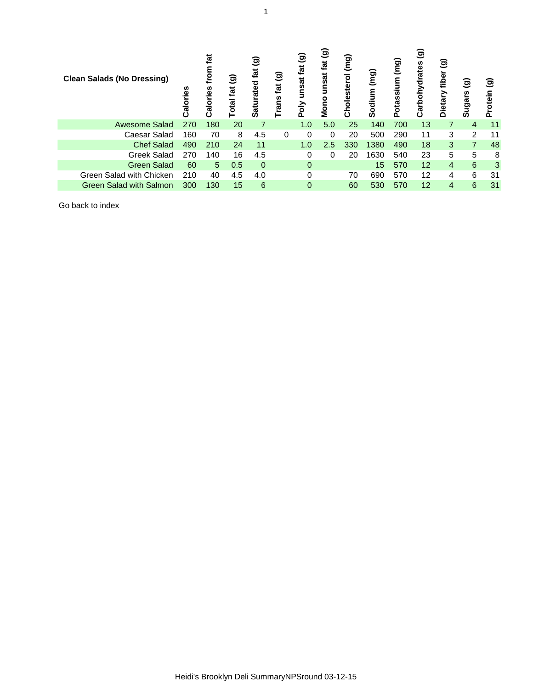| <b>Clean Salads (No Dressing)</b> | ທ<br><u>نة.</u><br>ے<br>© | ᅝ<br>n<br>᠊ᢛ | ම<br>tat<br>otal | ම<br>tat<br>ated<br>Satur | ම<br>tat<br>rans | ಕಾ<br>fat<br>unsat<br>Poly | ම<br>tat<br>unsat<br>Mono | (mg)<br>Cholesterol | em)<br>Sodium   | (mg)<br>Potassium | ම<br>ဖာ<br>arbohydrate<br>Ω | ි<br>fiber<br><b>Dieta</b> | ೨<br>Sugars    | ಕಾ<br>Protein |
|-----------------------------------|---------------------------|--------------|------------------|---------------------------|------------------|----------------------------|---------------------------|---------------------|-----------------|-------------------|-----------------------------|----------------------------|----------------|---------------|
| <b>Awesome Salad</b>              | 270                       | 180          | 20               | 7                         |                  | 1.0                        | 5.0                       | 25                  | 140             | 700               | 13                          | 7                          | 4              | 11            |
| Caesar Salad                      | 160                       | 70           | 8                | 4.5                       | $\mathbf{0}$     | $\Omega$                   | 0                         | 20                  | 500             | 290               | 11                          | 3                          | 2              | 11            |
| <b>Chef Salad</b>                 | 490                       | 210          | 24               | 11                        |                  | 1.0                        | 2.5                       | 330                 | 1380            | 490               | 18                          | 3                          | $\overline{7}$ | 48            |
| <b>Greek Salad</b>                | 270                       | 140          | 16               | 4.5                       |                  | 0                          | 0                         | 20                  | 1630            | 540               | 23                          | 5                          | 5              | 8             |
| <b>Green Salad</b>                | 60                        | 5            | 0.5              | $\Omega$                  |                  | 0                          |                           |                     | 15 <sub>1</sub> | 570               | 12                          | 4                          | $6\phantom{1}$ | 3             |
| Green Salad with Chicken          | 210                       | 40           | 4.5              | 4.0                       |                  | 0                          |                           | 70                  | 690             | 570               | 12                          | 4                          | 6              | 31            |
| <b>Green Salad with Salmon</b>    | 300                       | 130          | 15               | 6                         |                  | 0                          |                           | 60                  | 530             | 570               | 12                          | 4                          | 6              | 31            |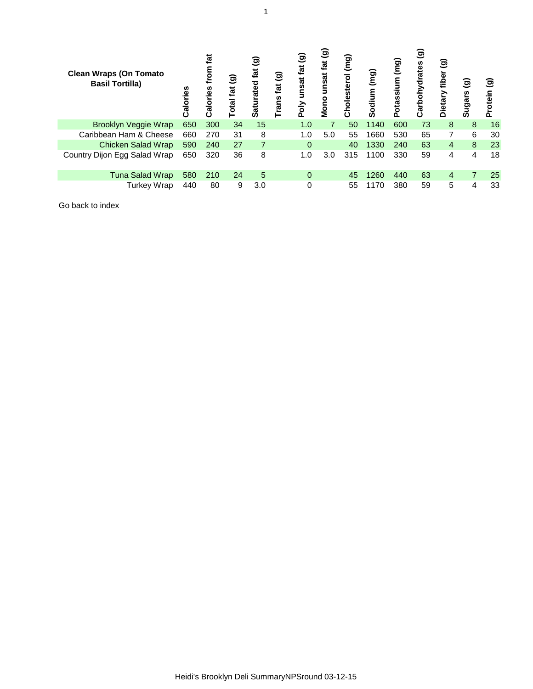| <b>Clean Wraps (On Tomato</b><br><b>Basil Tortilla)</b> | alories | ផ<br>틍<br>ທ<br><u>ق.</u><br>alori | ම<br>otal fat | ම<br>tat<br>Saturated | ම<br>tat<br>Trans | ම<br>fat<br>unsat<br>Poly | ම<br>fat<br>unsat<br>Mono | (mg)<br><b>Cholesterol</b> | (mq)<br>Sodium | <b>E</b><br>Potassium | ම<br>Carbohydrates | ම<br>fiber<br>Dietary | စ<br>Sugars             | ම<br>Protein |
|---------------------------------------------------------|---------|-----------------------------------|---------------|-----------------------|-------------------|---------------------------|---------------------------|----------------------------|----------------|-----------------------|--------------------|-----------------------|-------------------------|--------------|
| Brooklyn Veggie Wrap                                    | 650     | 300                               | 34            | 15                    |                   | 1.0                       | $\overline{7}$            | 50                         | 1140           | 600                   | 73                 | 8                     | 8                       | 16           |
| Caribbean Ham & Cheese                                  | 660     | 270                               | 31            | 8                     |                   | 1.0                       | 5.0                       | 55                         | 1660           | 530                   | 65                 | 7                     | 6                       | 30           |
| Chicken Salad Wrap                                      | 590     | 240                               | 27            | $\overline{7}$        |                   | $\Omega$                  |                           | 40                         | 1330           | 240                   | 63                 | 4                     | 8                       | 23           |
| Country Dijon Egg Salad Wrap                            | 650     | 320                               | 36            | 8                     |                   | 1.0                       | 3.0                       | 315                        | 1100           | 330                   | 59                 | 4                     | $\overline{\mathbf{4}}$ | 18           |
| Tuna Salad Wrap                                         | 580     | 210                               | 24            | 5                     |                   | 0                         |                           | 45                         | 1260           | 440                   | 63                 | 4                     | $\overline{7}$          | 25           |
| <b>Turkey Wrap</b>                                      | 440     | 80                                | 9             | 3.0                   |                   | 0                         |                           | 55                         | 1170           | 380                   | 59                 | 5                     | 4                       | 33           |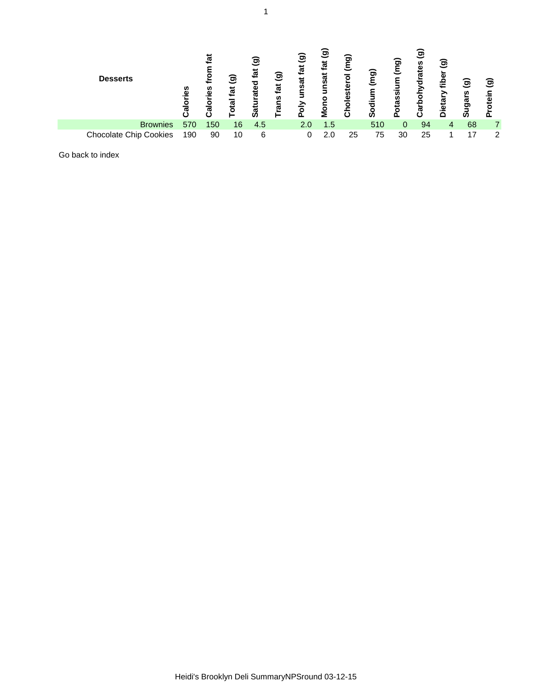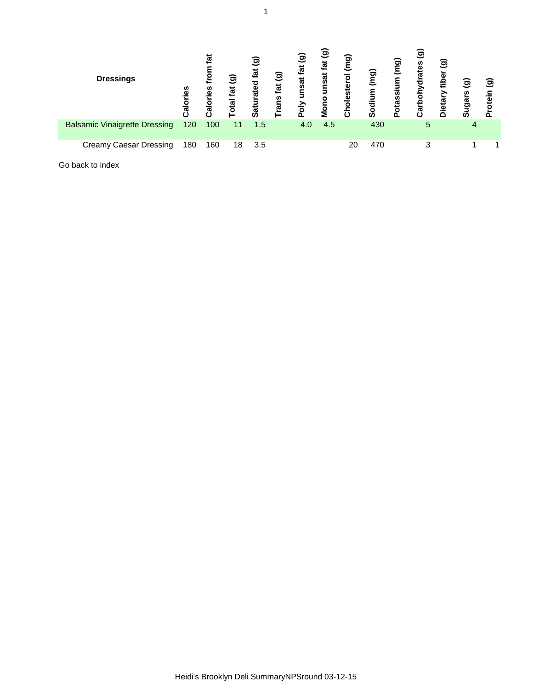| <b>Dressings</b>                     | ë<br>ಹ | ថ្ន<br>n<br>≅.<br><u>ior</u> | ම<br>fat<br>otal | ಕಾ<br>tat<br>rated<br>atur<br>Ø | ම<br>fat<br>rans | ම<br>tat<br>unsat<br>Poly | ම<br>fat<br>unsat<br>Mono | (mg)<br>sterol<br><u>iele</u><br>$\circ$ | (mg)<br>Sodium | (mg)<br>otassium<br>o. | ම<br>arbohydrates<br>ω | ම<br>fibe<br>Dietary | ම<br>iugars<br>ທ | මු<br>ء<br>ق |
|--------------------------------------|--------|------------------------------|------------------|---------------------------------|------------------|---------------------------|---------------------------|------------------------------------------|----------------|------------------------|------------------------|----------------------|------------------|--------------|
| <b>Balsamic Vinaigrette Dressing</b> | 120    | 100                          | 11               | 1.5                             |                  | 4.0                       | 4.5                       |                                          | 430            |                        | 5                      |                      | 4                |              |
| <b>Creamy Caesar Dressing</b>        | 180    | 160                          | 18               | 3.5                             |                  |                           |                           | 20                                       | 470            |                        | 3                      |                      |                  |              |
| Go back to index                     |        |                              |                  |                                 |                  |                           |                           |                                          |                |                        |                        |                      |                  |              |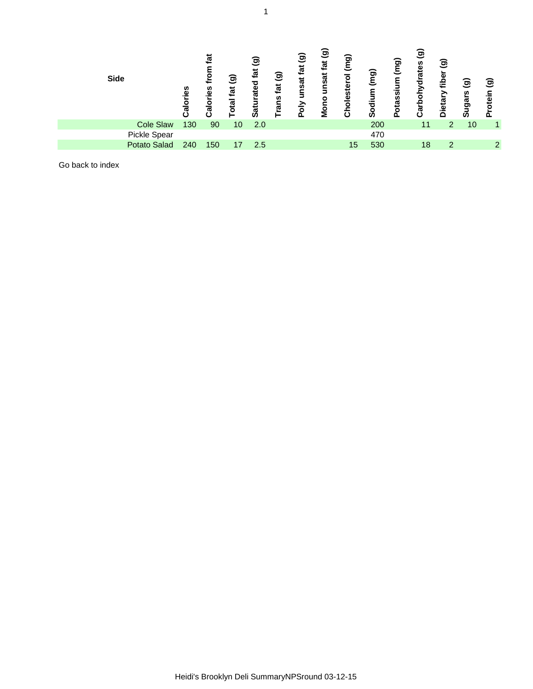| <b>Side</b>         | es.<br>ত | tat<br>n<br>ω<br>ಸ | ම<br>fat<br>otal | ම<br>tat<br>ated<br>Satu | ම<br>tat<br>rans | $\widehat{\mathbf{e}}$<br>fat<br>unsat<br>Poly | $\widehat{\mathbf{e}}$<br>tat<br>unsat<br>Mono | (mq)<br>holesterol<br>ပ | (mg)<br>Sodium | (mg)<br>otassium<br>൨ | ම<br>Carbohydrates | $\widehat{\mathbf{e}}$<br>fibe<br>Dietary | $\widehat{\mathbf{g}}$<br><b>Sugars</b> | ම<br>tein<br>o |
|---------------------|----------|--------------------|------------------|--------------------------|------------------|------------------------------------------------|------------------------------------------------|-------------------------|----------------|-----------------------|--------------------|-------------------------------------------|-----------------------------------------|----------------|
| <b>Cole Slaw</b>    | 130      | 90                 | 10               | 2.0                      |                  |                                                |                                                |                         | 200            |                       | 11                 | 2                                         | 10                                      |                |
| Pickle Spear        |          |                    |                  |                          |                  |                                                |                                                |                         | 470            |                       |                    |                                           |                                         |                |
| <b>Potato Salad</b> | 240      | 150                | 17               | 2.5                      |                  |                                                |                                                | 15                      | 530            |                       | 18                 | 2                                         |                                         | 2              |
|                     |          |                    |                  |                          |                  |                                                |                                                |                         |                |                       |                    |                                           |                                         |                |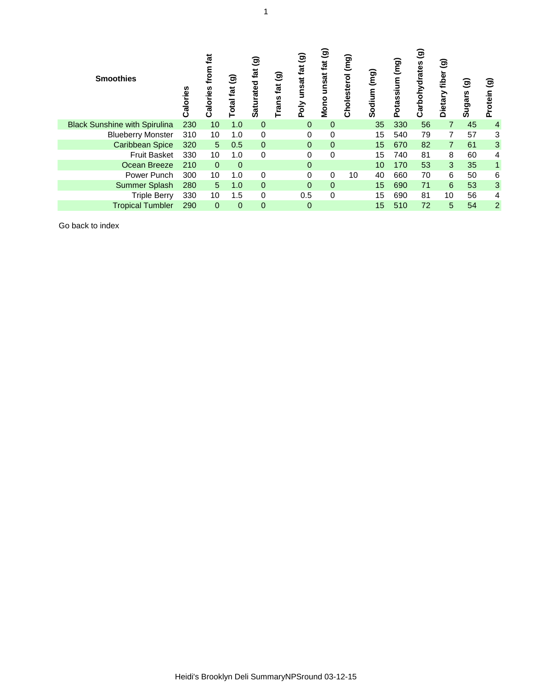| <b>Smoothies</b>                     | n<br>Calorie | fat<br>틍<br>ທ<br>alorie | ම<br>fat<br>otal | ම<br>fat<br>aturated<br><b>SO</b> | ම<br>fat<br>rans | ම<br>fat<br>unsat<br>Poly | ම<br>fat<br>unsat<br>Mono | (mg)<br>Cholesterol | (mg)<br>odium<br>ທ | ίβ<br>Ο<br>otassium<br>൨ | ම<br>arbohydrates<br>ن | ම<br>fiber<br>Dietary | $\overline{9}$<br>Sugars | ම<br>Protein   |
|--------------------------------------|--------------|-------------------------|------------------|-----------------------------------|------------------|---------------------------|---------------------------|---------------------|--------------------|--------------------------|------------------------|-----------------------|--------------------------|----------------|
| <b>Black Sunshine with Spirulina</b> | 230          | 10 <sup>1</sup>         | 1.0              | $\mathbf{0}$                      |                  | $\overline{0}$            | 0                         |                     | 35                 | 330                      | 56                     | $\overline{7}$        | 45                       | $\overline{4}$ |
| <b>Blueberry Monster</b>             | 310          | 10                      | 1.0              | 0                                 |                  | 0                         | 0                         |                     | 15                 | 540                      | 79                     | 7                     | 57                       | 3              |
| <b>Caribbean Spice</b>               | 320          | $5\phantom{.}$          | 0.5              | $\boldsymbol{0}$                  |                  | $\mathbf 0$               | 0                         |                     | 15                 | 670                      | 82                     | 7                     | 61                       | $\mathfrak{S}$ |
| <b>Fruit Basket</b>                  | 330          | 10                      | 1.0              | 0                                 |                  | 0                         | 0                         |                     | 15                 | 740                      | 81                     | 8                     | 60                       | 4              |
| Ocean Breeze                         | 210          | $\overline{0}$          | $\mathbf 0$      |                                   |                  | $\Omega$                  |                           |                     | 10 <sup>°</sup>    | 170                      | 53                     | 3                     | 35                       | 1              |
| Power Punch                          | 300          | 10                      | 1.0              | 0                                 |                  | 0                         | 0                         | 10                  | 40                 | 660                      | 70                     | 6                     | 50                       | 6              |
| <b>Summer Splash</b>                 | 280          | 5                       | 1.0              | $\boldsymbol{0}$                  |                  | $\Omega$                  | 0                         |                     | 15                 | 690                      | 71                     | $6\phantom{1}$        | 53                       | $\mathbf{3}$   |
| Triple Berry                         | 330          | 10                      | 1.5              | 0                                 |                  | 0.5                       | 0                         |                     | 15                 | 690                      | 81                     | 10                    | 56                       | 4              |
| <b>Tropical Tumbler</b>              | 290          | $\mathbf{0}$            | $\mathbf 0$      | $\overline{0}$                    |                  | $\overline{0}$            |                           |                     | 15                 | 510                      | 72                     | 5                     | 54                       | $\overline{2}$ |